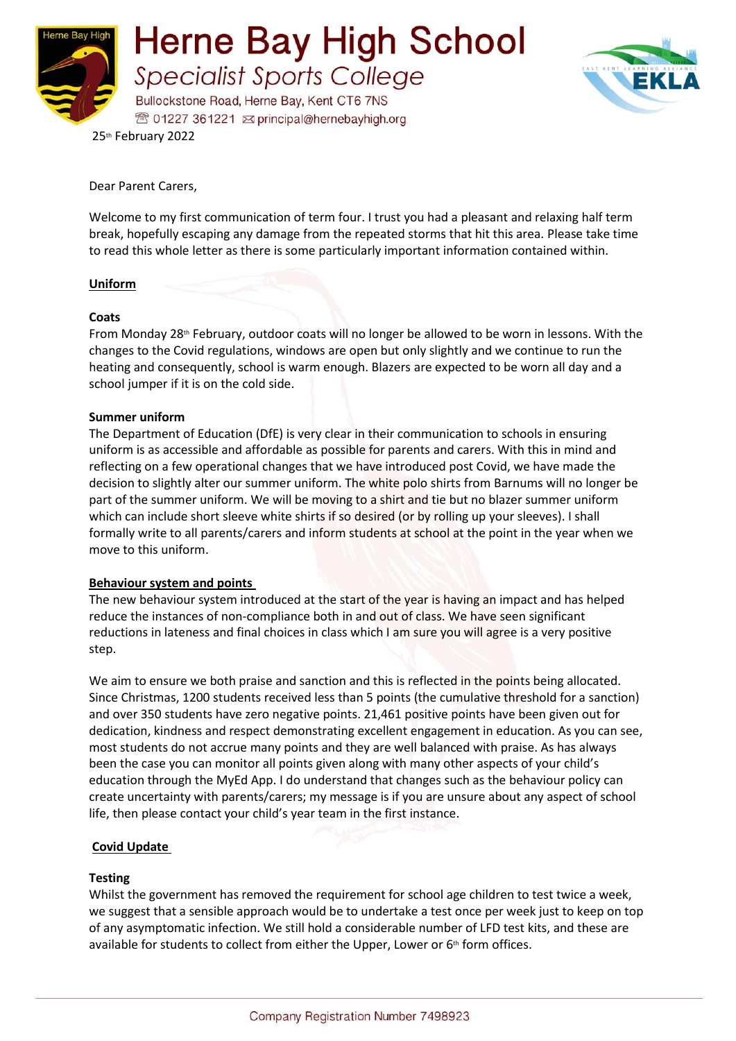



25th February 2022

Dear Parent Carers,

Welcome to my first communication of term four. I trust you had a pleasant and relaxing half term break, hopefully escaping any damage from the repeated storms that hit this area. Please take time to read this whole letter as there is some particularly important information contained within.

## **Uniform**

#### **Coats**

From Monday 28<sup>th</sup> February, outdoor coats will no longer be allowed to be worn in lessons. With the changes to the Covid regulations, windows are open but only slightly and we continue to run the heating and consequently, school is warm enough. Blazers are expected to be worn all day and a school jumper if it is on the cold side.

#### **Summer uniform**

The Department of Education (DfE) is very clear in their communication to schools in ensuring uniform is as accessible and affordable as possible for parents and carers. With this in mind and reflecting on a few operational changes that we have introduced post Covid, we have made the decision to slightly alter our summer uniform. The white polo shirts from Barnums will no longer be part of the summer uniform. We will be moving to a shirt and tie but no blazer summer uniform which can include short sleeve white shirts if so desired (or by rolling up your sleeves). I shall formally write to all parents/carers and inform students at school at the point in the year when we move to this uniform.

## **Behaviour system and points**

The new behaviour system introduced at the start of the year is having an impact and has helped reduce the instances of non-compliance both in and out of class. We have seen significant reductions in lateness and final choices in class which I am sure you will agree is a very positive step.

We aim to ensure we both praise and sanction and this is reflected in the points being allocated. Since Christmas, 1200 students received less than 5 points (the cumulative threshold for a sanction) and over 350 students have zero negative points. 21,461 positive points have been given out for dedication, kindness and respect demonstrating excellent engagement in education. As you can see, most students do not accrue many points and they are well balanced with praise. As has always been the case you can monitor all points given along with many other aspects of your child's education through the MyEd App. I do understand that changes such as the behaviour policy can create uncertainty with parents/carers; my message is if you are unsure about any aspect of school life, then please contact your child's year team in the first instance.

## **Covid Update**

## **Testing**

Whilst the government has removed the requirement for school age children to test twice a week, we suggest that a sensible approach would be to undertake a test once per week just to keep on top of any asymptomatic infection. We still hold a considerable number of LFD test kits, and these are available for students to collect from either the Upper, Lower or  $6<sup>th</sup>$  form offices.